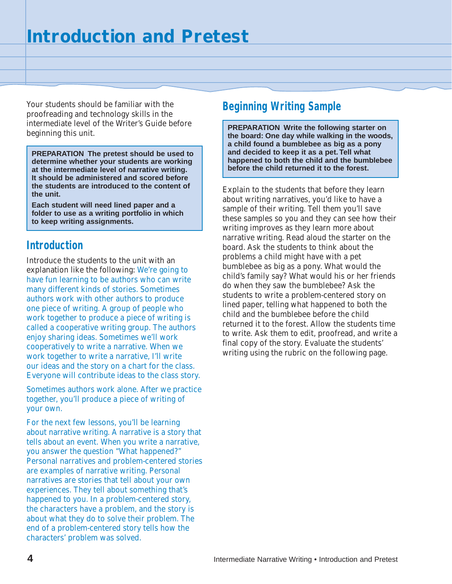Your students should be familiar with the proofreading and technology skills in the intermediate level of the Writer's Guide before beginning this unit.

**PREPARATION The pretest should be used to determine whether your students are working at the intermediate level of narrative writing. It should be administered and scored before the students are introduced to the content of the unit.**

**Each student will need lined paper and a folder to use as a writing portfolio in which to keep writing assignments.**

## **Introduction**

Introduce the students to the unit with an explanation like the following: We're going to have fun learning to be authors who can write many different kinds of stories. Sometimes authors work with other authors to produce one piece of writing. A group of people who work together to produce a piece of writing is called a cooperative writing group. The authors enjoy sharing ideas. Sometimes we'll work cooperatively to write a narrative. When we work together to write a narrative, I'll write our ideas and the story on a chart for the class. Everyone will contribute ideas to the class story.

Sometimes authors work alone. After we practice together, you'll produce a piece of writing of your own.

For the next few lessons, you'll be learning about narrative writing. A narrative is a story that tells about an event. When you write a narrative, you answer the question "What happened?" Personal narratives and problem-centered stories are examples of narrative writing. Personal narratives are stories that tell about your own experiences. They tell about something that's happened to you. In a problem-centered story, the characters have a problem, and the story is about what they do to solve their problem. The end of a problem-centered story tells how the characters' problem was solved.

## **Beginning Writing Sample**

**PREPARATION Write the following starter on the board: One day while walking in the woods, a child found a bumblebee as big as a pony and decided to keep it as a pet. Tell what happened to both the child and the bumblebee before the child returned it to the forest.**

Explain to the students that before they learn about writing narratives, you'd like to have a sample of their writing. Tell them you'll save these samples so you and they can see how their writing improves as they learn more about narrative writing. Read aloud the starter on the board. Ask the students to think about the problems a child might have with a pet bumblebee as big as a pony. What would the child's family say? What would his or her friends do when they saw the bumblebee? Ask the students to write a problem-centered story on lined paper, telling what happened to both the child and the bumblebee before the child returned it to the forest. Allow the students time to write. Ask them to edit, proofread, and write a final copy of the story. Evaluate the students' writing using the rubric on the following page.